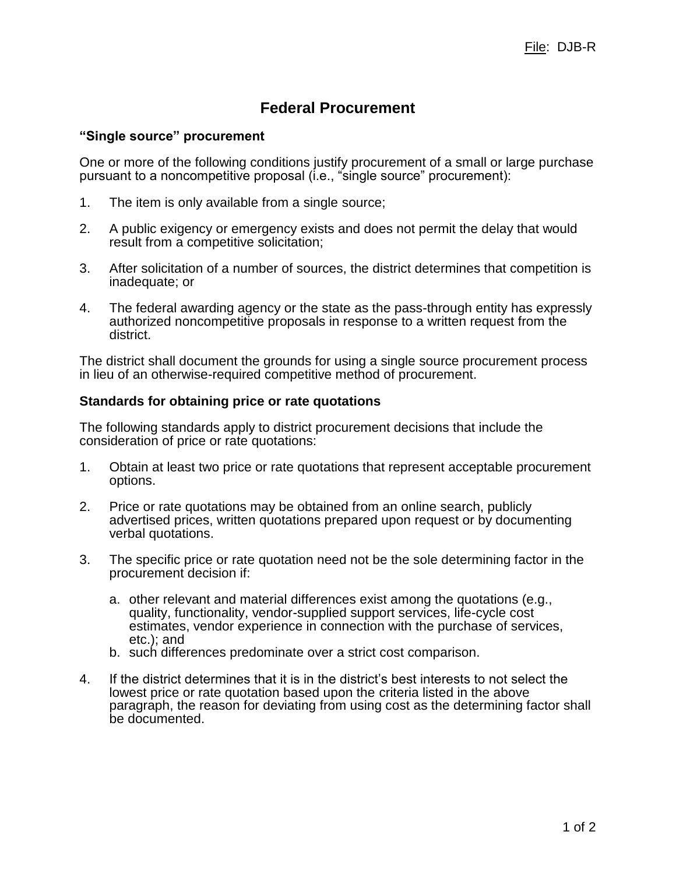## **Federal Procurement**

## **"Single source" procurement**

One or more of the following conditions justify procurement of a small or large purchase pursuant to a noncompetitive proposal (i.e., "single source" procurement):

- 1. The item is only available from a single source;
- 2. A public exigency or emergency exists and does not permit the delay that would result from a competitive solicitation;
- 3. After solicitation of a number of sources, the district determines that competition is inadequate; or
- 4. The federal awarding agency or the state as the pass-through entity has expressly authorized noncompetitive proposals in response to a written request from the district.

The district shall document the grounds for using a single source procurement process in lieu of an otherwise-required competitive method of procurement.

## **Standards for obtaining price or rate quotations**

The following standards apply to district procurement decisions that include the consideration of price or rate quotations:

- 1. Obtain at least two price or rate quotations that represent acceptable procurement options.
- 2. Price or rate quotations may be obtained from an online search, publicly advertised prices, written quotations prepared upon request or by documenting verbal quotations.
- 3. The specific price or rate quotation need not be the sole determining factor in the procurement decision if:
	- a. other relevant and material differences exist among the quotations (e.g., quality, functionality, vendor-supplied support services, life-cycle cost estimates, vendor experience in connection with the purchase of services, etc.); and
	- b. such differences predominate over a strict cost comparison.
- 4. If the district determines that it is in the district's best interests to not select the lowest price or rate quotation based upon the criteria listed in the above paragraph, the reason for deviating from using cost as the determining factor shall be documented.